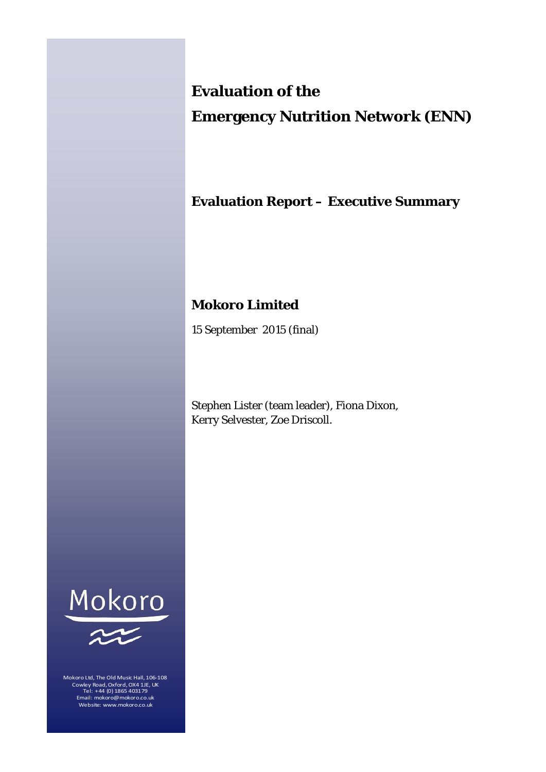# **Evaluation of the**

# **Emergency Nutrition Network (ENN)**

# **Evaluation Report – Executive Summary**

## **Mokoro Limited**

15 September 2015 (final)

Stephen Lister (team leader), Fiona Dixon, Kerry Selvester, Zoe Driscoll.





Mokoro Ltd, The Old Music Hall, 106-108 Cowley Road, Oxford, OX4 1JE, UK Tel: +44 (0) 1865 403179 Email: mokoro@mokoro.co.uk Website: www.mokoro.co.uk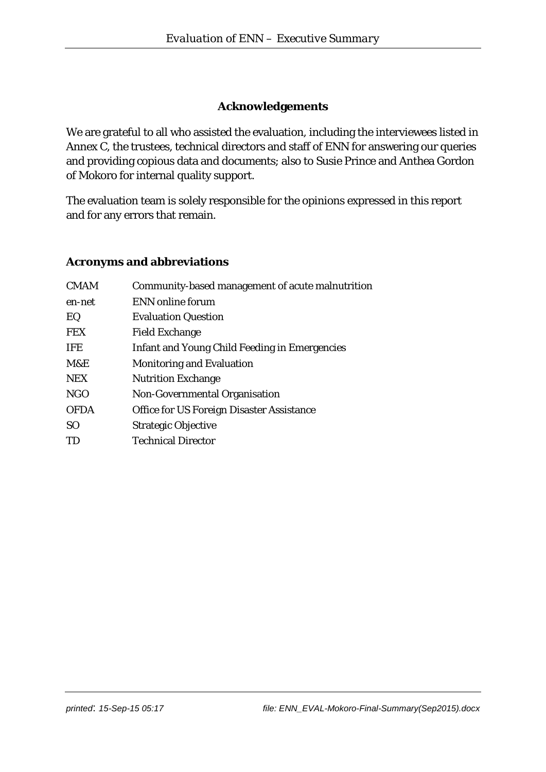#### **Acknowledgements**

We are grateful to all who assisted the evaluation, including the interviewees listed in Annex C, the trustees, technical directors and staff of ENN for answering our queries and providing copious data and documents; also to Susie Prince and Anthea Gordon of Mokoro for internal quality support.

The evaluation team is solely responsible for the opinions expressed in this report and for any errors that remain.

#### **Acronyms and abbreviations**

| <b>CMAM</b>    | Community-based management of acute malnutrition     |
|----------------|------------------------------------------------------|
| en-net         | ENN online forum                                     |
| EQ             | <b>Evaluation Question</b>                           |
| <b>FEX</b>     | <b>Field Exchange</b>                                |
| <b>IFE</b>     | <b>Infant and Young Child Feeding in Emergencies</b> |
| M&E            | <b>Monitoring and Evaluation</b>                     |
| <b>NEX</b>     | <b>Nutrition Exchange</b>                            |
| <b>NGO</b>     | Non-Governmental Organisation                        |
| <b>OFDA</b>    | Office for US Foreign Disaster Assistance            |
| S <sub>O</sub> | <b>Strategic Objective</b>                           |
| TD             | <b>Technical Director</b>                            |
|                |                                                      |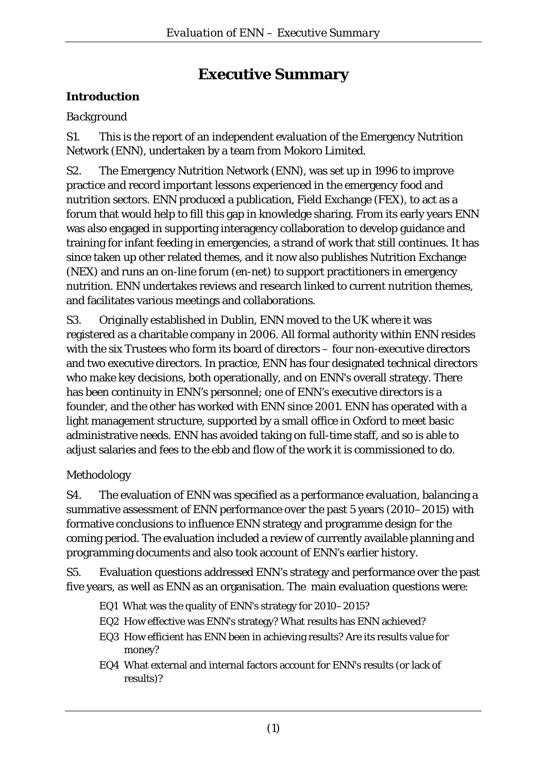# **Executive Summary**

### **Introduction**

### *Background*

S1. This is the report of an independent evaluation of the Emergency Nutrition Network (ENN), undertaken by a team from Mokoro Limited.

S2. The Emergency Nutrition Network (ENN), was set up in 1996 to improve practice and record important lessons experienced in the emergency food and nutrition sectors. ENN produced a publication, Field Exchange (FEX), to act as a forum that would help to fill this gap in knowledge sharing. From its early years ENN was also engaged in supporting interagency collaboration to develop guidance and training for infant feeding in emergencies, a strand of work that still continues. It has since taken up other related themes, and it now also publishes Nutrition Exchange (NEX) and runs an on-line forum (en-net) to support practitioners in emergency nutrition. ENN undertakes reviews and research linked to current nutrition themes, and facilitates various meetings and collaborations.

S3. Originally established in Dublin, ENN moved to the UK where it was registered as a charitable company in 2006. All formal authority within ENN resides with the six Trustees who form its board of directors – four non-executive directors and two executive directors. In practice, ENN has four designated technical directors who make key decisions, both operationally, and on ENN's overall strategy. There has been continuity in ENN's personnel; one of ENN's executive directors is a founder, and the other has worked with ENN since 2001. ENN has operated with a light management structure, supported by a small office in Oxford to meet basic administrative needs. ENN has avoided taking on full-time staff, and so is able to adjust salaries and fees to the ebb and flow of the work it is commissioned to do.

### *Methodology*

S4. The evaluation of ENN was specified as a performance evaluation, balancing a summative assessment of ENN performance over the past 5 years (2010–2015) with formative conclusions to influence ENN strategy and programme design for the coming period. The evaluation included a review of currently available planning and programming documents and also took account of ENN's earlier history.

S5. Evaluation questions addressed ENN's strategy and performance over the past five years, as well as ENN as an organisation. The main evaluation questions were:

- EQ1 What was the quality of ENN's strategy for 2010–2015?
- EQ2 How effective was ENN's strategy? What results has ENN achieved?
- EQ3 How efficient has ENN been in achieving results? Are its results value for money?
- EQ4 What external and internal factors account for ENN's results (or lack of results)?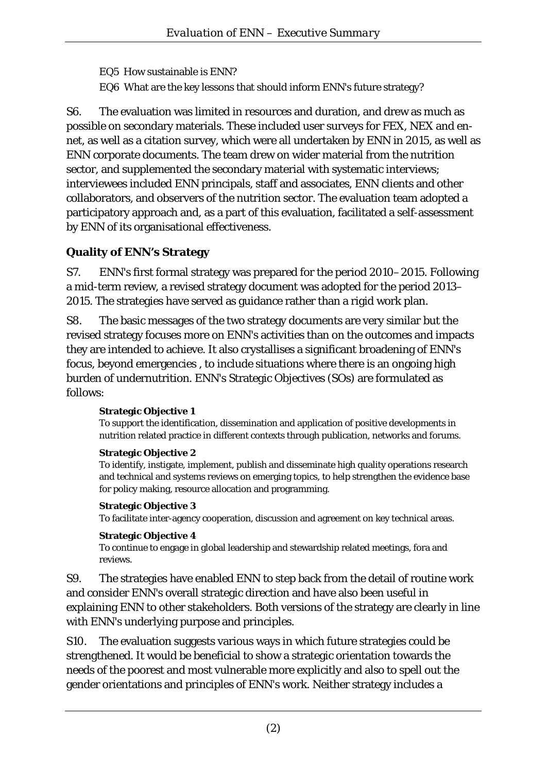EQ5 How sustainable is ENN?

EQ6 What are the key lessons that should inform ENN's future strategy?

S6. The evaluation was limited in resources and duration, and drew as much as possible on secondary materials. These included user surveys for FEX, NEX and ennet, as well as a citation survey, which were all undertaken by ENN in 2015, as well as ENN corporate documents. The team drew on wider material from the nutrition sector, and supplemented the secondary material with systematic interviews; interviewees included ENN principals, staff and associates, ENN clients and other collaborators, and observers of the nutrition sector. The evaluation team adopted a participatory approach and, as a part of this evaluation, facilitated a self-assessment by ENN of its organisational effectiveness.

## **Quality of ENN's Strategy**

S7. ENN's first formal strategy was prepared for the period 2010–2015. Following a mid-term review, a revised strategy document was adopted for the period 2013– 2015. The strategies have served as guidance rather than a rigid work plan.

S8. The basic messages of the two strategy documents are very similar but the revised strategy focuses more on ENN's activities than on the outcomes and impacts they are intended to achieve. It also crystallises a significant broadening of ENN's focus, beyond emergencies , to include situations where there is an ongoing high burden of undernutrition. ENN's Strategic Objectives (SOs) are formulated as follows:

#### **Strategic Objective 1**

To support the identification, dissemination and application of positive developments in nutrition related practice in different contexts through publication, networks and forums.

#### **Strategic Objective 2**

To identify, instigate, implement, publish and disseminate high quality operations research and technical and systems reviews on emerging topics, to help strengthen the evidence base for policy making, resource allocation and programming.

#### **Strategic Objective 3**

To facilitate inter-agency cooperation, discussion and agreement on key technical areas.

#### **Strategic Objective 4**

To continue to engage in global leadership and stewardship related meetings, fora and reviews.

S9. The strategies have enabled ENN to step back from the detail of routine work and consider ENN's overall strategic direction and have also been useful in explaining ENN to other stakeholders. Both versions of the strategy are clearly in line with ENN's underlying purpose and principles.

S10. The evaluation suggests various ways in which future strategies could be strengthened. It would be beneficial to show a strategic orientation towards the needs of the poorest and most vulnerable more explicitly and also to spell out the gender orientations and principles of ENN's work. Neither strategy includes a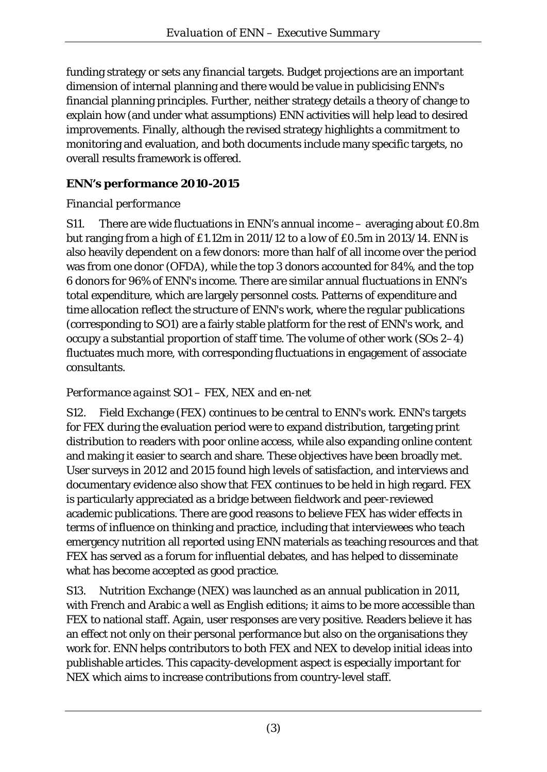funding strategy or sets any financial targets. Budget projections are an important dimension of internal planning and there would be value in publicising ENN's financial planning principles. Further, neither strategy details a theory of change to explain how (and under what assumptions) ENN activities will help lead to desired improvements. Finally, although the revised strategy highlights a commitment to monitoring and evaluation, and both documents include many specific targets, no overall results framework is offered.

# **ENN's performance 2010-2015**

# *Financial performance*

S11. There are wide fluctuations in ENN's annual income – averaging about £0.8m but ranging from a high of £1.12m in 2011/12 to a low of £0.5m in 2013/14. ENN is also heavily dependent on a few donors: more than half of all income over the period was from one donor (OFDA), while the top 3 donors accounted for 84%, and the top 6 donors for 96% of ENN's income. There are similar annual fluctuations in ENN's total expenditure, which are largely personnel costs. Patterns of expenditure and time allocation reflect the structure of ENN's work, where the regular publications (corresponding to SO1) are a fairly stable platform for the rest of ENN's work, and occupy a substantial proportion of staff time. The volume of other work (SOs 2–4) fluctuates much more, with corresponding fluctuations in engagement of associate consultants.

# *Performance against SO1 – FEX, NEX and en-net*

S12. Field Exchange (FEX) continues to be central to ENN's work. ENN's targets for FEX during the evaluation period were to expand distribution, targeting print distribution to readers with poor online access, while also expanding online content and making it easier to search and share. These objectives have been broadly met. User surveys in 2012 and 2015 found high levels of satisfaction, and interviews and documentary evidence also show that FEX continues to be held in high regard. FEX is particularly appreciated as a bridge between fieldwork and peer-reviewed academic publications. There are good reasons to believe FEX has wider effects in terms of influence on thinking and practice, including that interviewees who teach emergency nutrition all reported using ENN materials as teaching resources and that FEX has served as a forum for influential debates, and has helped to disseminate what has become accepted as good practice.

S13. Nutrition Exchange (NEX) was launched as an annual publication in 2011, with French and Arabic a well as English editions; it aims to be more accessible than FEX to national staff. Again, user responses are very positive. Readers believe it has an effect not only on their personal performance but also on the organisations they work for. ENN helps contributors to both FEX and NEX to develop initial ideas into publishable articles. This capacity-development aspect is especially important for NEX which aims to increase contributions from country-level staff.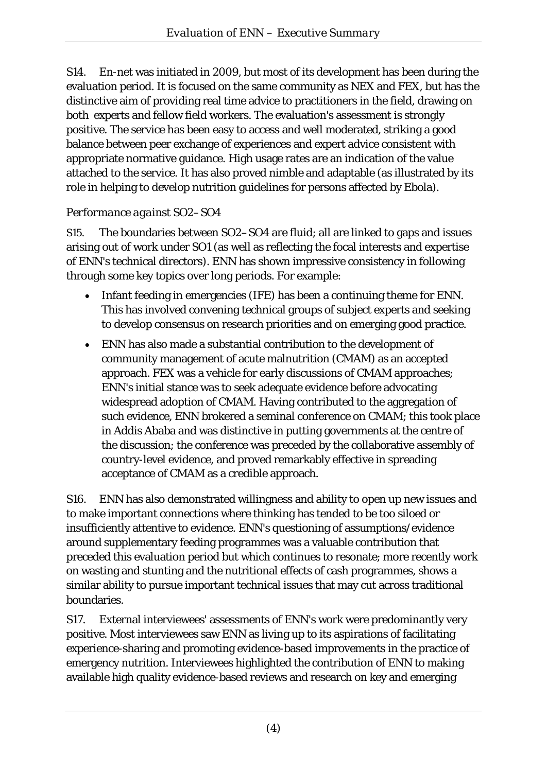S14. En-net was initiated in 2009, but most of its development has been during the evaluation period. It is focused on the same community as NEX and FEX, but has the distinctive aim of providing real time advice to practitioners in the field, drawing on both experts and fellow field workers. The evaluation's assessment is strongly positive. The service has been easy to access and well moderated, striking a good balance between peer exchange of experiences and expert advice consistent with appropriate normative guidance. High usage rates are an indication of the value attached to the service. It has also proved nimble and adaptable (as illustrated by its role in helping to develop nutrition guidelines for persons affected by Ebola).

### *Performance against SO2–SO4*

S15. The boundaries between SO2–SO4 are fluid; all are linked to gaps and issues arising out of work under SO1 (as well as reflecting the focal interests and expertise of ENN's technical directors). ENN has shown impressive consistency in following through some key topics over long periods. For example:

- Infant feeding in emergencies (IFE) has been a continuing theme for ENN. This has involved convening technical groups of subject experts and seeking to develop consensus on research priorities and on emerging good practice.
- ENN has also made a substantial contribution to the development of community management of acute malnutrition (CMAM) as an accepted approach. FEX was a vehicle for early discussions of CMAM approaches; ENN's initial stance was to seek adequate evidence before advocating widespread adoption of CMAM. Having contributed to the aggregation of such evidence, ENN brokered a seminal conference on CMAM; this took place in Addis Ababa and was distinctive in putting governments at the centre of the discussion; the conference was preceded by the collaborative assembly of country-level evidence, and proved remarkably effective in spreading acceptance of CMAM as a credible approach.

S16. ENN has also demonstrated willingness and ability to open up new issues and to make important connections where thinking has tended to be too siloed or insufficiently attentive to evidence. ENN's questioning of assumptions/evidence around supplementary feeding programmes was a valuable contribution that preceded this evaluation period but which continues to resonate; more recently work on wasting and stunting and the nutritional effects of cash programmes, shows a similar ability to pursue important technical issues that may cut across traditional boundaries.

S17. External interviewees' assessments of ENN's work were predominantly very positive. Most interviewees saw ENN as living up to its aspirations of facilitating experience-sharing and promoting evidence-based improvements in the practice of emergency nutrition. Interviewees highlighted the contribution of ENN to making available high quality evidence-based reviews and research on key and emerging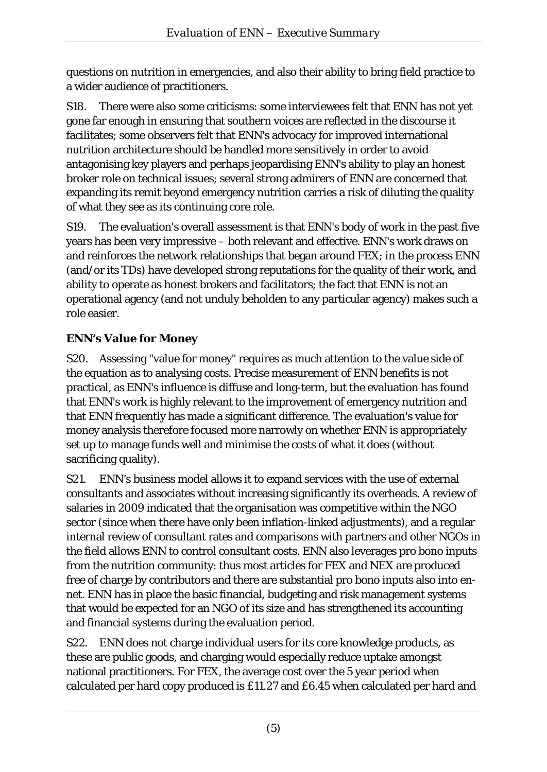questions on nutrition in emergencies, and also their ability to bring field practice to a wider audience of practitioners.

S18. There were also some criticisms: some interviewees felt that ENN has not yet gone far enough in ensuring that southern voices are reflected in the discourse it facilitates; some observers felt that ENN's advocacy for improved international nutrition architecture should be handled more sensitively in order to avoid antagonising key players and perhaps jeopardising ENN's ability to play an honest broker role on technical issues; several strong admirers of ENN are concerned that expanding its remit beyond emergency nutrition carries a risk of diluting the quality of what they see as its continuing core role.

S19. The evaluation's overall assessment is that ENN's body of work in the past five years has been very impressive – both relevant and effective. ENN's work draws on and reinforces the network relationships that began around FEX; in the process ENN (and/or its TDs) have developed strong reputations for the quality of their work, and ability to operate as honest brokers and facilitators; the fact that ENN is not an operational agency (and not unduly beholden to any particular agency) makes such a role easier.

# **ENN's Value for Money**

S20. Assessing "value for money" requires as much attention to the value side of the equation as to analysing costs. Precise measurement of ENN benefits is not practical, as ENN's influence is diffuse and long-term, but the evaluation has found that ENN's work is highly relevant to the improvement of emergency nutrition and that ENN frequently has made a significant difference. The evaluation's value for money analysis therefore focused more narrowly on whether ENN is appropriately set up to manage funds well and minimise the costs of what it does (without sacrificing quality).

S21. ENN's business model allows it to expand services with the use of external consultants and associates without increasing significantly its overheads. A review of salaries in 2009 indicated that the organisation was competitive within the NGO sector (since when there have only been inflation-linked adjustments), and a regular internal review of consultant rates and comparisons with partners and other NGOs in the field allows ENN to control consultant costs. ENN also leverages pro bono inputs from the nutrition community: thus most articles for FEX and NEX are produced free of charge by contributors and there are substantial pro bono inputs also into ennet. ENN has in place the basic financial, budgeting and risk management systems that would be expected for an NGO of its size and has strengthened its accounting and financial systems during the evaluation period.

S22. ENN does not charge individual users for its core knowledge products, as these are public goods, and charging would especially reduce uptake amongst national practitioners. For FEX, the average cost over the 5 year period when calculated per hard copy produced is £11.27 and £6.45 when calculated per hard and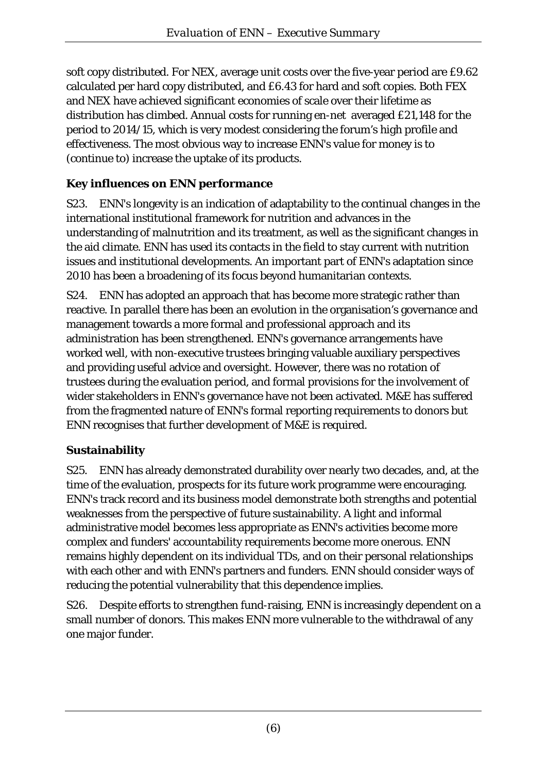soft copy distributed. For NEX, average unit costs over the five-year period are £9.62 calculated per hard copy distributed, and £6.43 for hard and soft copies. Both FEX and NEX have achieved significant economies of scale over their lifetime as distribution has climbed. Annual costs for running en-net averaged £21,148 for the period to 2014/15, which is very modest considering the forum's high profile and effectiveness. The most obvious way to increase ENN's value for money is to (continue to) increase the uptake of its products.

# **Key influences on ENN performance**

S23. ENN's longevity is an indication of adaptability to the continual changes in the international institutional framework for nutrition and advances in the understanding of malnutrition and its treatment, as well as the significant changes in the aid climate. ENN has used its contacts in the field to stay current with nutrition issues and institutional developments. An important part of ENN's adaptation since 2010 has been a broadening of its focus beyond humanitarian contexts.

S24. ENN has adopted an approach that has become more strategic rather than reactive. In parallel there has been an evolution in the organisation's governance and management towards a more formal and professional approach and its administration has been strengthened. ENN's governance arrangements have worked well, with non-executive trustees bringing valuable auxiliary perspectives and providing useful advice and oversight. However, there was no rotation of trustees during the evaluation period, and formal provisions for the involvement of wider stakeholders in ENN's governance have not been activated. M&E has suffered from the fragmented nature of ENN's formal reporting requirements to donors but ENN recognises that further development of M&E is required.

### **Sustainability**

S25. ENN has already demonstrated durability over nearly two decades, and, at the time of the evaluation, prospects for its future work programme were encouraging. ENN's track record and its business model demonstrate both strengths and potential weaknesses from the perspective of future sustainability. A light and informal administrative model becomes less appropriate as ENN's activities become more complex and funders' accountability requirements become more onerous. ENN remains highly dependent on its individual TDs, and on their personal relationships with each other and with ENN's partners and funders. ENN should consider ways of reducing the potential vulnerability that this dependence implies.

S26. Despite efforts to strengthen fund-raising, ENN is increasingly dependent on a small number of donors. This makes ENN more vulnerable to the withdrawal of any one major funder.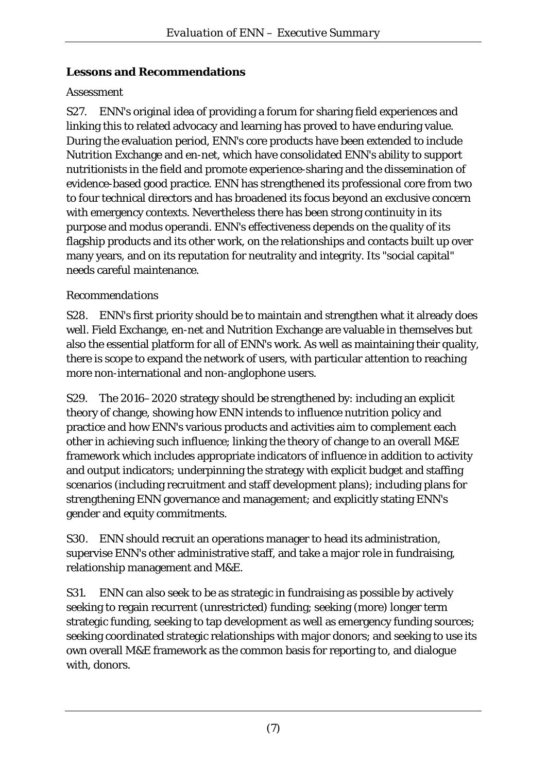### **Lessons and Recommendations**

### *Assessment*

S27. ENN's original idea of providing a forum for sharing field experiences and linking this to related advocacy and learning has proved to have enduring value. During the evaluation period, ENN's core products have been extended to include Nutrition Exchange and en-net, which have consolidated ENN's ability to support nutritionists in the field and promote experience-sharing and the dissemination of evidence-based good practice. ENN has strengthened its professional core from two to four technical directors and has broadened its focus beyond an exclusive concern with emergency contexts. Nevertheless there has been strong continuity in its purpose and modus operandi. ENN's effectiveness depends on the quality of its flagship products and its other work, on the relationships and contacts built up over many years, and on its reputation for neutrality and integrity. Its "social capital" needs careful maintenance.

### *Recommendations*

S28. ENN's first priority should be to maintain and strengthen what it already does well. Field Exchange, en-net and Nutrition Exchange are valuable in themselves but also the essential platform for all of ENN's work. As well as maintaining their quality, there is scope to expand the network of users, with particular attention to reaching more non-international and non-anglophone users.

S29. The 2016–2020 strategy should be strengthened by: including an explicit theory of change, showing how ENN intends to influence nutrition policy and practice and how ENN's various products and activities aim to complement each other in achieving such influence; linking the theory of change to an overall M&E framework which includes appropriate indicators of influence in addition to activity and output indicators; underpinning the strategy with explicit budget and staffing scenarios (including recruitment and staff development plans); including plans for strengthening ENN governance and management; and explicitly stating ENN's gender and equity commitments.

S30. ENN should recruit an operations manager to head its administration, supervise ENN's other administrative staff, and take a major role in fundraising, relationship management and M&E.

S31. ENN can also seek to be as strategic in fundraising as possible by actively seeking to regain recurrent (unrestricted) funding; seeking (more) longer term strategic funding, seeking to tap development as well as emergency funding sources; seeking coordinated strategic relationships with major donors; and seeking to use its own overall M&E framework as the common basis for reporting to, and dialogue with, donors.